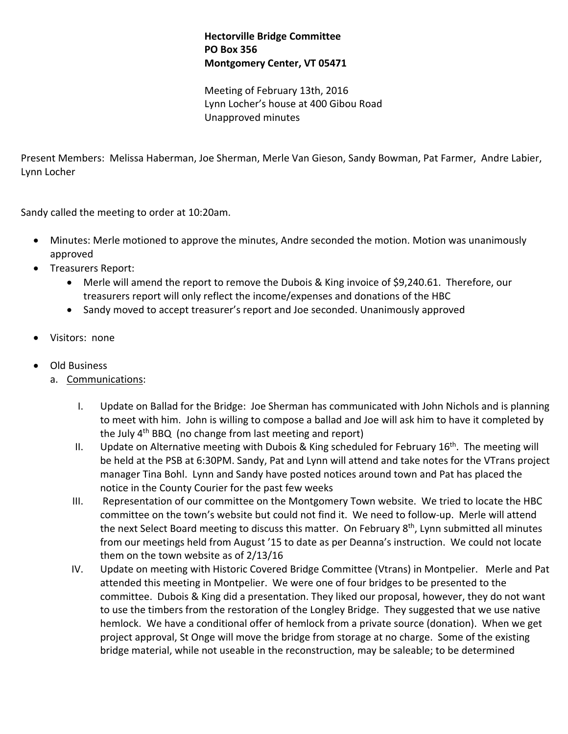## **Hectorville Bridge Committee PO Box 356 Montgomery Center, VT 05471**

Meeting of February 13th, 2016 Lynn Locher's house at 400 Gibou Road Unapproved minutes

Present Members: Melissa Haberman, Joe Sherman, Merle Van Gieson, Sandy Bowman, Pat Farmer, Andre Labier, Lynn Locher

Sandy called the meeting to order at 10:20am.

- Minutes: Merle motioned to approve the minutes, Andre seconded the motion. Motion was unanimously approved
- Treasurers Report:
	- Merle will amend the report to remove the Dubois & King invoice of \$9,240.61. Therefore, our treasurers report will only reflect the income/expenses and donations of the HBC
	- Sandy moved to accept treasurer's report and Joe seconded. Unanimously approved
- Visitors: none
- Old Business
	- a. Communications:
		- I. Update on Ballad for the Bridge: Joe Sherman has communicated with John Nichols and is planning to meet with him. John is willing to compose a ballad and Joe will ask him to have it completed by the July 4<sup>th</sup> BBQ (no change from last meeting and report)
		- II. Update on Alternative meeting with Dubois & King scheduled for February  $16<sup>th</sup>$ . The meeting will be held at the PSB at 6:30PM. Sandy, Pat and Lynn will attend and take notes for the VTrans project manager Tina Bohl. Lynn and Sandy have posted notices around town and Pat has placed the notice in the County Courier for the past few weeks
		- III. Representation of our committee on the Montgomery Town website. We tried to locate the HBC committee on the town's website but could not find it. We need to follow-up. Merle will attend the next Select Board meeting to discuss this matter. On February 8<sup>th</sup>, Lynn submitted all minutes from our meetings held from August '15 to date as per Deanna's instruction. We could not locate them on the town website as of 2/13/16
		- IV. Update on meeting with Historic Covered Bridge Committee (Vtrans) in Montpelier. Merle and Pat attended this meeting in Montpelier. We were one of four bridges to be presented to the committee. Dubois & King did a presentation. They liked our proposal, however, they do not want to use the timbers from the restoration of the Longley Bridge. They suggested that we use native hemlock. We have a conditional offer of hemlock from a private source (donation). When we get project approval, St Onge will move the bridge from storage at no charge. Some of the existing bridge material, while not useable in the reconstruction, may be saleable; to be determined